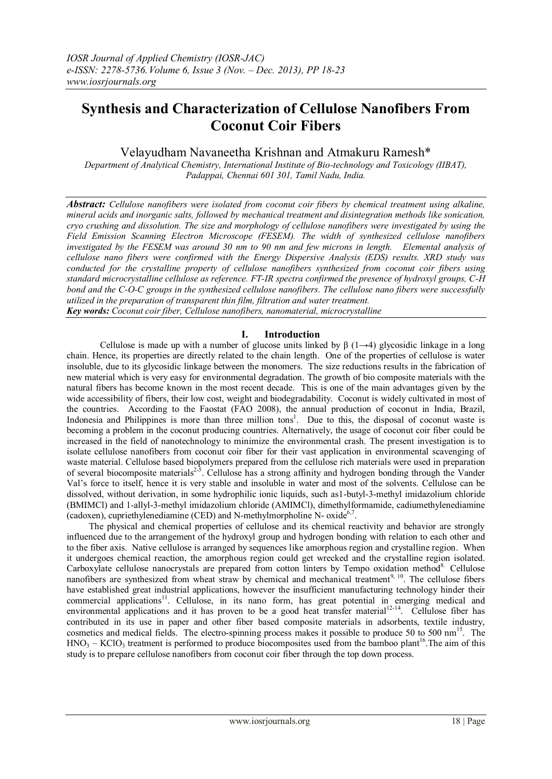# **Synthesis and Characterization of Cellulose Nanofibers From Coconut Coir Fibers**

Velayudham Navaneetha Krishnan and Atmakuru Ramesh\*

*Department of Analytical Chemistry, International Institute of Bio-technology and Toxicology (IIBAT), Padappai, Chennai 601 301, Tamil Nadu, India.*

*Abstract: Cellulose nanofibers were isolated from coconut coir fibers by chemical treatment using alkaline, mineral acids and inorganic salts, followed by mechanical treatment and disintegration methods like sonication, cryo crushing and dissolution. The size and morphology of cellulose nanofibers were investigated by using the Field Emission Scanning Electron Microscope (FESEM). The width of synthesized cellulose nanofibers investigated by the FESEM was around 30 nm to 90 nm and few microns in length. Elemental analysis of cellulose nano fibers were confirmed with the Energy Dispersive Analysis (EDS) results. XRD study was conducted for the crystalline property of cellulose nanofibers synthesized from coconut coir fibers using standard microcrystalline cellulose as reference. FT-IR spectra confirmed the presence of hydroxyl groups, C-H bond and the C-O-C groups in the synthesized cellulose nanofibers. The cellulose nano fibers were successfully utilized in the preparation of transparent thin film, filtration and water treatment. Key words: Coconut coir fiber, Cellulose nanofibers, nanomaterial, microcrystalline*

# **I. Introduction**

Cellulose is made up with a number of glucose units linked by  $\beta$  (1→4) glycosidic linkage in a long chain. Hence, its properties are directly related to the chain length. One of the properties of cellulose is water insoluble, due to its glycosidic linkage between the monomers. The size reductions results in the fabrication of new material which is very easy for environmental degradation. The growth of bio composite materials with the natural fibers has become known in the most recent decade. This is one of the main advantages given by the wide accessibility of fibers, their low cost, weight and biodegradability. Coconut is widely cultivated in most of the countries. According to the Faostat (FAO 2008), the annual production of coconut in India, Brazil, Indonesia and Philippines is more than three million tons<sup>1</sup>. Due to this, the disposal of coconut waste is becoming a problem in the coconut producing countries. Alternatively, the usage of coconut coir fiber could be increased in the field of nanotechnology to minimize the environmental crash. The present investigation is to isolate cellulose nanofibers from coconut coir fiber for their vast application in environmental scavenging of waste material. Cellulose based biopolymers prepared from the cellulose rich materials were used in preparation of several biocomposite materials<sup>2-5</sup>. Cellulose has a strong affinity and hydrogen bonding through the Vander Val's force to itself, hence it is very stable and insoluble in water and most of the solvents. Cellulose can be dissolved, without derivation, in some hydrophilic ionic liquids, such as1-butyl-3-methyl imidazolium chloride (BMIMCl) and 1-allyl-3-methyl imidazolium chloride (AMIMCl), dimethylformamide, cadiumethylenediamine (cadoxen), cupriethylenediamine (CED) and N-methylmorpholine N- oxide<sup>6,7</sup>.

The physical and chemical properties of cellulose and its chemical reactivity and behavior are strongly influenced due to the arrangement of the hydroxyl group and hydrogen bonding with relation to each other and to the fiber axis. Native cellulose is arranged by sequences like amorphous region and crystalline region. When it undergoes chemical reaction, the amorphous region could get wrecked and the crystalline region isolated. Carboxylate cellulose nanocrystals are prepared from cotton linters by Tempo oxidation method<sup>8</sup>. Cellulose nanofibers are synthesized from wheat straw by chemical and mechanical treatment<sup>9, 10</sup>. The cellulose fibers have established great industrial applications, however the insufficient manufacturing technology hinder their commercial applications<sup>11</sup>. Cellulose, in its nano form, has great potential in emerging medical and environmental applications and it has proven to be a good heat transfer material<sup>12-14</sup>. Cellulose fiber has contributed in its use in paper and other fiber based composite materials in adsorbents, textile industry, cosmetics and medical fields. The electro-spinning process makes it possible to produce 50 to 500 nm<sup>15</sup>. The  $HNO<sub>3</sub> - KClO<sub>3</sub>$  treatment is performed to produce biocomposites used from the bamboo plant<sup>16</sup>. The aim of this study is to prepare cellulose nanofibers from coconut coir fiber through the top down process.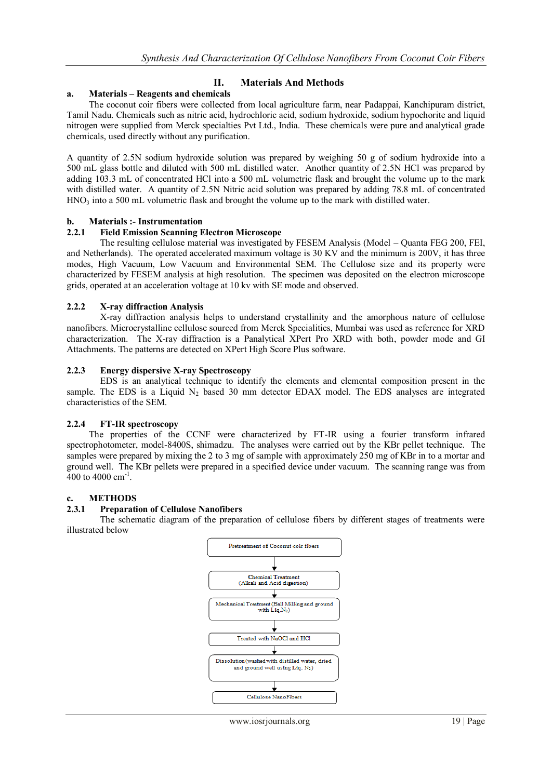# **II. Materials And Methods**

## **a. Materials – Reagents and chemicals**

The coconut coir fibers were collected from local agriculture farm, near Padappai, Kanchipuram district, Tamil Nadu. Chemicals such as nitric acid, hydrochloric acid, sodium hydroxide, sodium hypochorite and liquid nitrogen were supplied from Merck specialties Pvt Ltd., India. These chemicals were pure and analytical grade chemicals, used directly without any purification.

A quantity of 2.5N sodium hydroxide solution was prepared by weighing 50 g of sodium hydroxide into a 500 mL glass bottle and diluted with 500 mL distilled water. Another quantity of 2.5N HCl was prepared by adding 103.3 mL of concentrated HCl into a 500 mL volumetric flask and brought the volume up to the mark with distilled water. A quantity of 2.5N Nitric acid solution was prepared by adding 78.8 mL of concentrated  $HNO<sub>3</sub>$  into a 500 mL volumetric flask and brought the volume up to the mark with distilled water.

## **b. Materials :- Instrumentation**

#### **2.2.1 Field Emission Scanning Electron Microscope**

The resulting cellulose material was investigated by FESEM Analysis (Model – Quanta FEG 200, FEI, and Netherlands). The operated accelerated maximum voltage is 30 KV and the minimum is 200V, it has three modes, High Vacuum, Low Vacuum and Environmental SEM. The Cellulose size and its property were characterized by FESEM analysis at high resolution. The specimen was deposited on the electron microscope grids, operated at an acceleration voltage at 10 kv with SE mode and observed.

## **2.2.2 X-ray diffraction Analysis**

X-ray diffraction analysis helps to understand crystallinity and the amorphous nature of cellulose nanofibers. Microcrystalline cellulose sourced from Merck Specialities, Mumbai was used as reference for XRD characterization. The X-ray diffraction is a Panalytical XPert Pro XRD with both, powder mode and GI Attachments. The patterns are detected on XPert High Score Plus software.

## **2.2.3 Energy dispersive X-ray Spectroscopy**

EDS is an analytical technique to identify the elements and elemental composition present in the sample. The EDS is a Liquid  $N<sub>2</sub>$  based 30 mm detector EDAX model. The EDS analyses are integrated characteristics of the SEM.

## **2.2.4 FT-IR spectroscopy**

The properties of the CCNF were characterized by FT-IR using a fourier transform infrared spectrophotometer, model-8400S, shimadzu. The analyses were carried out by the KBr pellet technique. The samples were prepared by mixing the 2 to 3 mg of sample with approximately 250 mg of KBr in to a mortar and ground well. The KBr pellets were prepared in a specified device under vacuum. The scanning range was from  $400$  to  $4000$  cm<sup>-1</sup>.

#### **c. METHODS**

#### **2.3.1 Preparation of Cellulose Nanofibers**

The schematic diagram of the preparation of cellulose fibers by different stages of treatments were illustrated below

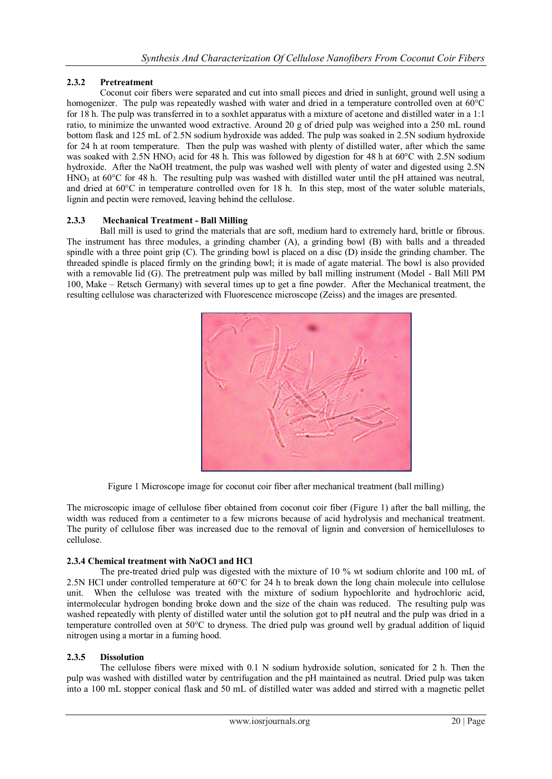# **2.3.2 Pretreatment**

Coconut coir fibers were separated and cut into small pieces and dried in sunlight, ground well using a homogenizer. The pulp was repeatedly washed with water and dried in a temperature controlled oven at 60<sup>o</sup>C for 18 h. The pulp was transferred in to a soxhlet apparatus with a mixture of acetone and distilled water in a 1:1 ratio, to minimize the unwanted wood extractive. Around 20 g of dried pulp was weighed into a 250 mL round bottom flask and 125 mL of 2.5N sodium hydroxide was added. The pulp was soaked in 2.5N sodium hydroxide for 24 h at room temperature. Then the pulp was washed with plenty of distilled water, after which the same was soaked with  $2.5N$  HNO<sub>3</sub> acid for 48 h. This was followed by digestion for 48 h at  $60^{\circ}$ C with  $2.5N$  sodium hydroxide. After the NaOH treatment, the pulp was washed well with plenty of water and digested using 2.5N HNO<sub>3</sub> at 60°C for 48 h. The resulting pulp was washed with distilled water until the pH attained was neutral, and dried at 60°C in temperature controlled oven for 18 h. In this step, most of the water soluble materials, lignin and pectin were removed, leaving behind the cellulose.

# **2.3.3 Mechanical Treatment - Ball Milling**

Ball mill is used to grind the materials that are soft, medium hard to extremely hard, brittle or fibrous. The instrument has three modules, a grinding chamber (A), a grinding bowl (B) with balls and a threaded spindle with a three point grip (C). The grinding bowl is placed on a disc (D) inside the grinding chamber. The threaded spindle is placed firmly on the grinding bowl; it is made of agate material. The bowl is also provided with a removable lid (G). The pretreatment pulp was milled by ball milling instrument (Model - Ball Mill PM 100, Make – Retsch Germany) with several times up to get a fine powder. After the Mechanical treatment, the resulting cellulose was characterized with Fluorescence microscope (Zeiss) and the images are presented.



Figure 1 Microscope image for coconut coir fiber after mechanical treatment (ball milling)

The microscopic image of cellulose fiber obtained from coconut coir fiber (Figure 1) after the ball milling, the width was reduced from a centimeter to a few microns because of acid hydrolysis and mechanical treatment. The purity of cellulose fiber was increased due to the removal of lignin and conversion of hemicelluloses to cellulose.

# **2.3.4 Chemical treatment with NaOCl and HCl**

The pre-treated dried pulp was digested with the mixture of 10 % wt sodium chlorite and 100 mL of 2.5N HCl under controlled temperature at 60°C for 24 h to break down the long chain molecule into cellulose unit. When the cellulose was treated with the mixture of sodium hypochlorite and hydrochloric acid, intermolecular hydrogen bonding broke down and the size of the chain was reduced. The resulting pulp was washed repeatedly with plenty of distilled water until the solution got to pH neutral and the pulp was dried in a temperature controlled oven at 50°C to dryness. The dried pulp was ground well by gradual addition of liquid nitrogen using a mortar in a fuming hood.

# **2.3.5 Dissolution**

The cellulose fibers were mixed with 0.1 N sodium hydroxide solution, sonicated for 2 h. Then the pulp was washed with distilled water by centrifugation and the pH maintained as neutral. Dried pulp was taken into a 100 mL stopper conical flask and 50 mL of distilled water was added and stirred with a magnetic pellet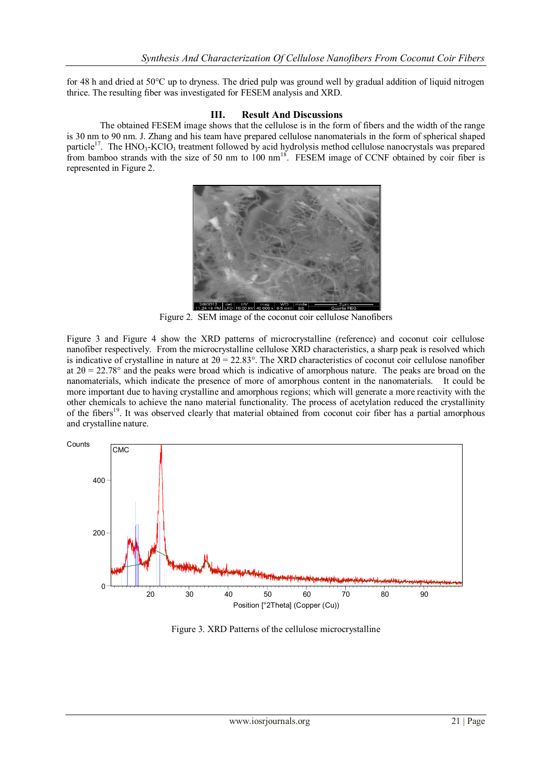for 48 h and dried at 50°C up to dryness. The dried pulp was ground well by gradual addition of liquid nitrogen thrice. The resulting fiber was investigated for FESEM analysis and XRD.

# **III. Result And Discussions**

The obtained FESEM image shows that the cellulose is in the form of fibers and the width of the range is 30 nm to 90 nm. J. Zhang and his team have prepared cellulose nanomaterials in the form of spherical shaped particle<sup>17</sup>. The HNO<sub>3</sub>-KClO<sub>3</sub> treatment followed by acid hydrolysis method cellulose nanocrystals was prepared from bamboo strands with the size of 50 nm to  $100 \text{ nm}^{18}$ . FESEM image of CCNF obtained by coir fiber is represented in Figure 2.



Figure 2. SEM image of the coconut coir cellulose Nanofibers

Figure 3 and Figure 4 show the XRD patterns of microcrystalline (reference) and coconut coir cellulose nanofiber respectively. From the microcrystalline cellulose XRD characteristics, a sharp peak is resolved which is indicative of crystalline in nature at  $2\theta = 22.83^\circ$ . The XRD characteristics of coconut coir cellulose nanofiber at  $2\theta = 22.78^{\circ}$  and the peaks were broad which is indicative of amorphous nature. The peaks are broad on the nanomaterials, which indicate the presence of more of amorphous content in the nanomaterials. It could be more important due to having crystalline and amorphous regions; which will generate a more reactivity with the other chemicals to achieve the nano material functionality. The process of acetylation reduced the crystallinity of the fibers<sup>19</sup>. It was observed clearly that material obtained from coconut coir fiber has a partial amorphous and crystalline nature.



Figure 3. XRD Patterns of the cellulose microcrystalline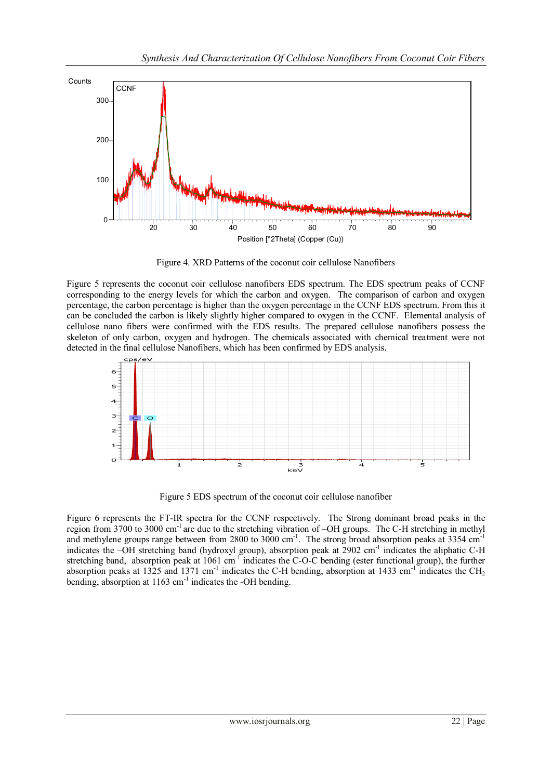

Figure 4. XRD Patterns of the coconut coir cellulose Nanofibers

Figure 5 represents the coconut coir cellulose nanofibers EDS spectrum. The EDS spectrum peaks of CCNF corresponding to the energy levels for which the carbon and oxygen. The comparison of carbon and oxygen percentage, the carbon percentage is higher than the oxygen percentage in the CCNF EDS spectrum. From this it can be concluded the carbon is likely slightly higher compared to oxygen in the CCNF. Elemental analysis of cellulose nano fibers were confirmed with the EDS results. The prepared cellulose nanofibers possess the skeleton of only carbon, oxygen and hydrogen. The chemicals associated with chemical treatment were not detected in the final cellulose Nanofibers, which has been confirmed by EDS analysis.



Figure 5 EDS spectrum of the coconut coir cellulose nanofiber

Figure 6 represents the FT-IR spectra for the CCNF respectively. The Strong dominant broad peaks in the region from 3700 to 3000 cm-1 are due to the stretching vibration of –OH groups. The C-H stretching in methyl and methylene groups range between from 2800 to 3000 cm<sup>-1</sup>. The strong broad absorption peaks at 3354 cm<sup>-1</sup> indicates the -OH stretching band (hydroxyl group), absorption peak at 2902 cm<sup>-1</sup> indicates the aliphatic C-H stretching band, absorption peak at 1061 cm<sup>-1</sup> indicates the C-O-C bending (ester functional group), the further absorption peaks at 1325 and 1371 cm<sup>-1</sup> indicates the C-H bending, absorption at 1433 cm<sup>-1</sup> indicates the CH<sub>2</sub> bending, absorption at 1163 cm<sup>-1</sup> indicates the -OH bending.